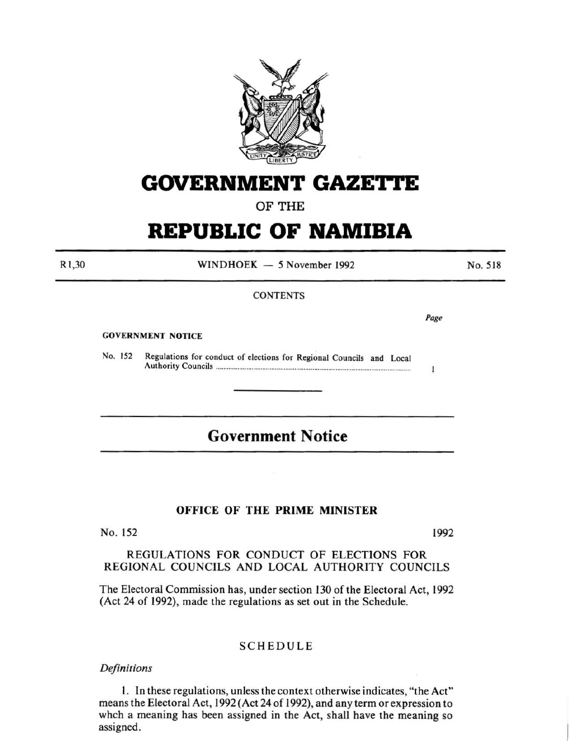

# **GOVERNMENT GAZE'ri'E**

OF THE

# **REPUBLIC OF NAMIBIA**

R1 ,30

WINDHOEK - 5 November 1992

No. 518

## **CONTENTS**

*Page* 

 $\mathbf{1}$ 

GOVERNMENT NOTICE

No. 152 Regulations for conduct of elections for Regional Councils and Local Authority Councils ............................................................................................................ .

# **Government Notice**

## OFFICE OF THE PRIME MINISTER

No. 152 1992

## REGULATIONS FOR CONDUCT OF ELECTIONS FOR REGIONAL COUNCILS AND LOCAL AUTHORITY COUNCILS

The Electoral Commission has, under section 130 of the Electoral Act, 1992 (Act 24 of 1992), made the regulations as set out in the Schedule.

## SCHEDULE

*Definitions* 

I. In these regulations, unless the context otherwise indicates, "the Act" means the Electoral Act, 1992 (Act 24 of 1992), and any term or expression to whch a meaning has been assigned in the Act, shall have the meaning so assigned.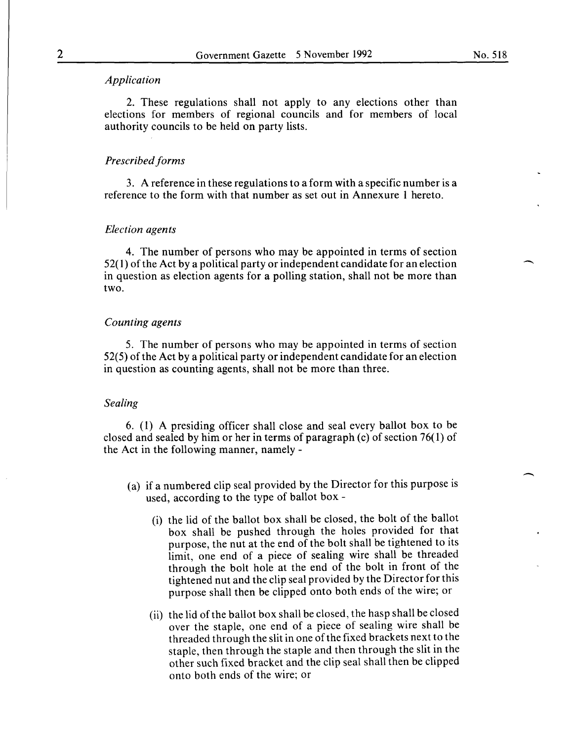#### *Application*

2. These regulations shall not apply to any elections other than elections for members of regional councils and for members of local authority councils to be held on party lists.

#### *Prescribed forms*

3. A reference in these regulations to a form with a specific number is a reference to the form with that number as set out in Annexure 1 hereto.

#### *Election agents*

4. The number of persons who may be appointed in terms of section 52( 1) of the Act by a political party or independent candidate for an election in question as election agents for a polling station, shall not be more than two.

#### *Counting agents*

5. The number of persons who may be appointed in terms of section 52(5) of the Act by a political party or independent candidate for an election in question as counting agents, shall not be more than three.

#### *Sealing*

6. ( 1) A presiding officer shall close and seal every ballot box to be closed and sealed by him or her in terms of paragraph (c) of section 76( 1) of the Act in the following manner, namely-

- (a) if a numbered clip seal provided by the Director for this purpose is used, according to the type of ballot box -
	- (i) the lid of the ballot box shall be closed, the bolt of the ballot box shall be pushed through the holes provided for that purpose, the nut at the end of the bolt shall be tightened to its limit, one end of a piece of sealing wire shall be threaded through the bolt hole at the end of the bolt in front of the tightened nut and the clip seal provided by the Director for this purpose shall then be clipped onto both ends of the wire; or
	- (ii) the lid of the ballot box shall be closed, the hasp shall be closed over the staple, one end of a piece of sealing wire shall be threaded through the slit in one of the fixed brackets next to the staple, then through the staple and then through the slit in the other such fixed bracket and the clip seal shall then be clipped onto both ends of the wire; or

 $\overline{\phantom{a}}$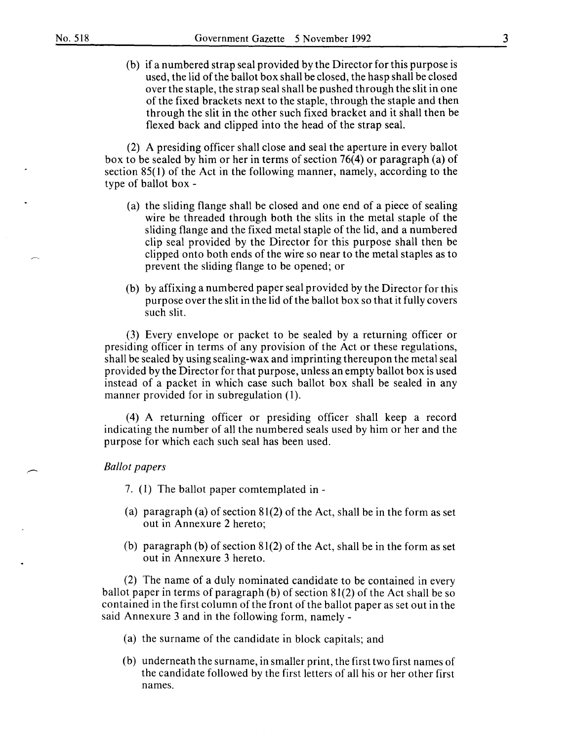(b) if a numbered strap seal provided by the Director for this purpose is used, the lid of the ballot box shall be closed, the hasp shall be closed over the staple, the strap seal shall be pushed through the slit in one of the fixed brackets next to the staple, through the staple and then through the slit in the other such fixed bracket and it shall then be flexed back and clipped into the head of the strap seal.

(2) A presiding officer shall close and seal the aperture in every ballot box to be sealed by him or her in terms of section 76(4) or paragraph (a) of section 85(1) of the Act in the following manner, namely, according to the type of ballot box -

- (a) the sliding flange shall be closed and one end of a piece of sealing wire be threaded through both the slits in the metal staple of the sliding flange and the fixed metal staple of the lid, and a numbered clip seal provided by the Director for this purpose shall then be clipped onto both ends of the wire so near to the metal staples as to prevent the sliding flange to be opened; or
- (b) by affixing a numbered paper seal provided by the Director for this purpose over the slit in the lid of the ballot box so that it fully covers such slit.

(3) Every envelope or packet to be sealed by a returning officer or presiding officer in terms of any provision of the Act or these regulations, shall be sealed by using sealing-wax and imprinting thereupon the metal seal provided by the Director for that purpose, unless an empty ballot box is used instead of a packet in which case such ballot box shall be sealed in any manner provided for in subregulation (1).

( 4) A returning officer or presiding officer shall keep a record indicating the number of all the numbered seals used by him or her and the purpose for which each such seal has been used.

#### *Ballot papers*

7. (1) The ballot paper comtemplated in -

- (a) paragraph (a) of section 81(2) of the Act, shall be in the form as set out in Annexure 2 hereto;
- (b) paragraph (b) of section 81(2) of the Act, shall be in the form as set out in Annexure 3 hereto.

(2) The name of a duly nominated candidate to be contained in every ballot paper in terms of paragraph (b) of section 81(2) of the Act shall be so contained in the first column of the front of the ballot paper as set out in the said Annexure 3 and in the following form, namely -

- (a) the surname of the candidate in block capitals; and
- (b) underneath the surname, in smaller print, the first two first names of the candidate followed by the first letters of all his or her other first names.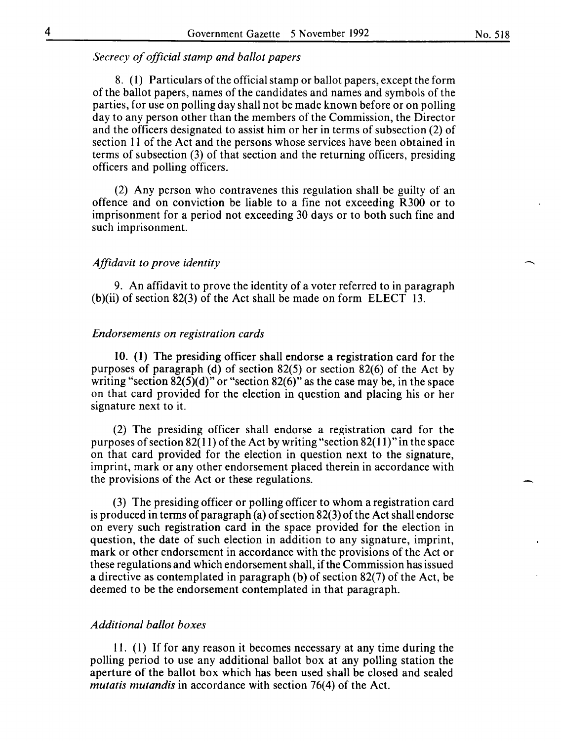### *Secrecy of official stamp and ballot papers*

8. (I) Particulars of the official stamp or ballot papers, except the form of the ballot papers, names of the candidates and names and symbols of the parties, for use on polling day shall not be made known before or on polling day to any person other than the members of the Commission, the Director and the officers designated to assist him or her in terms of subsection (2) of section II of the Act and the persons whose services have been obtained in terms of subsection (3) of that section and the returning officers, presiding officers and polling officers.

(2) Any person who contravenes this regulation shall be guilty of an offence and on conviction be liable to a fine not exceeding R300 or to imprisonment for a period not exceeding 30 days or to both such fine and such imprisonment.

#### *Affidavit to prove identity*

9. An affidavit to prove the identity of a voter referred to in paragraph (b)(ii) of section 82(3) of the Act shall be made on form ELECT 13.

#### *Endorsements on registration cards*

10. (1) The presiding officer shall endorse a registration card for the purposes of paragraph (d) of section 82(5) or section 82(6) of the Act by writing "section  $82(5)(d)$ " or "section  $82(6)$ " as the case may be, in the space on that card provided for the election in question and placing his or her signature next to it.

(2) The presiding officer shall endorse a registration card for the purposes of section 82(11) of the Act by writing "section 82(11)" in the space on that card provided for the election in question next to the signature, imprint, mark or any other endorsement placed therein in accordance with the provisions of the Act or these regulations.

(3) The presiding officer or polling officer to whom a registration card is produced in terms of paragraph (a) of section 82(3) of the Act shall endorse on every such registration card in the space provided for the election in question, the date of such election in addition to any signature, imprint, mark or other endorsement in accordance with the provisions of the Act or these regulations and which endorsement shall, if the Commission has issued a directive as contemplated in paragraph (b) of section 82(7) of the Act, be deemed to be the endorsement contemplated in that paragraph.

#### *Additional ballot boxes*

11. (I) If for any reason it becomes necessary at any time during the polling period to use any additional ballot box at any polling station the aperture of the ballot box which has been used shall be closed and sealed *mutatis mutandis* in accordance with section 76(4) of the Act.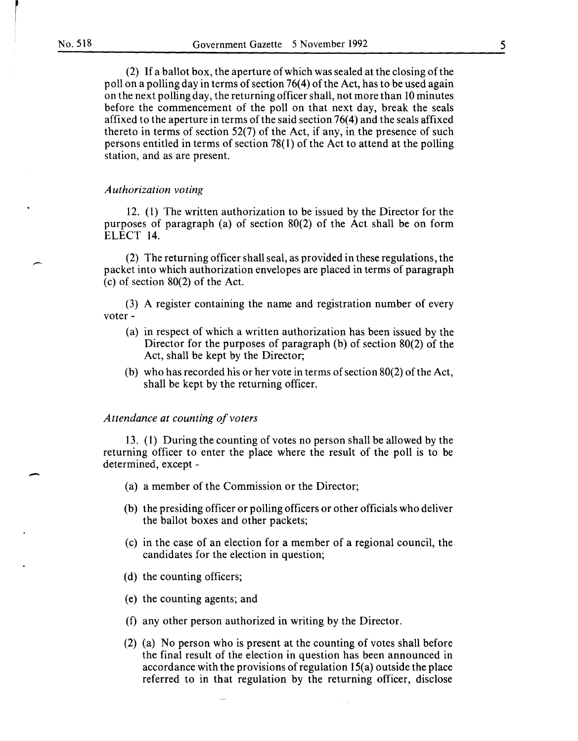-

(2) If a ballot box, the aperture of which was sealed at the closing of the poll on a polling day in terms of section 76( 4) of the Act, has to be used again on the next polling day, the returning officer shall, not more than 10 minutes before the commencement of the poll on that next day, break the seals affixed to the aperture in terms of the said section  $76(4)$  and the seals affixed thereto in terms of section 52(7) of the Act, if any, in the presence of such persons entitled in terms of section 78( 1) of the Act to attend at the polling station, and as are present.

#### *Authorization voting*

12. (1) The written authorization to be issued by the Director for the purposes of paragraph (a) of section 80(2) of the Act shall be on form ELECT 14.

(2) The returning officer shall seal, as provided in these regulations, the packet into which authorization envelopes are placed in terms of paragraph (c) of section 80(2) of the Act.

(3) A register containing the name and registration number of every voter ·

- (a) in respect of which a written authorization has been issued by the Director for the purposes of paragraph (b) of section 80(2) of the Act, shall be kept by the Director;
- (b) who has recorded his or her vote in terms of section 80(2) of the Act, shall be kept by the returning officer.

#### Attendance at counting of voters

13. (1) During the counting of votes no person shall be allowed by the returning officer to enter the place where the result of the poll is to be determined, except -

- (a) a member of the Commission or the Director;
- (b) the presiding officer or polling officers or other officials who deliver the ballot boxes and other packets;
- (c) in the case of an election for a member of a regional council, the candidates for the election in question;
- (d) the counting officers;
- (e) the counting agents; and
- (f) any other person authorized in writing by the Director.
- (2) (a) No person who is present at the counting of votes shall before the final result of the election in question has been announced in accordance with the provisions of regulation 15(a) outside the place referred to in that regulation by the returning officer, disclose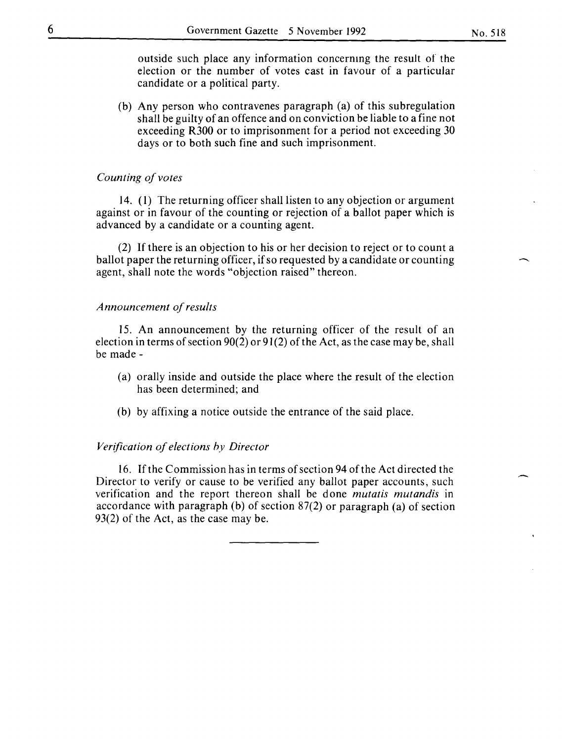outside such place any information concernmg the result of the election or the number of votes cast in favour of a particular candidate or a political party.

(b) Any person who contravenes paragraph (a) of this subregulation shall be guilty of an offence and on conviction be liable to a fine not exceeding R300 or to imprisonment for a period not exceeding 30 days or to both such fine and such imprisonment.

#### *Counting of votes*

14. (I) The returning officer shall listen to any objection or argument against or in favour of the counting or rejection of a ballot paper which is advanced by a candidate or a counting agent.

(2) If there is an objection to his or her decision to reject or to count a ballot paper the returning officer, if so requested by a candidate or counting agent, shall note the words "objection raised" thereon.

#### *Announcement of results*

15. An announcement by the returning officer of the result of an election in terms of section  $90(2)$  or  $91(2)$  of the Act, as the case may be, shall be made-

- (a) orally inside and outside the place where the result of the election has been determined; and
- (b) by affixing a notice outside the entrance of the said place.

#### *Verification of elections hy Director*

16. If the Commission has in terms of section 94 of the Act directed the Director to verify or cause to be verified any ballot paper accounts, such verification and the report thereon shall be done *mutatis mutandis* in accordance with paragraph (b) of section 87(2) or paragraph (a) of section 93(2) of the Act, as the case may be.

 $\overline{\phantom{a}}$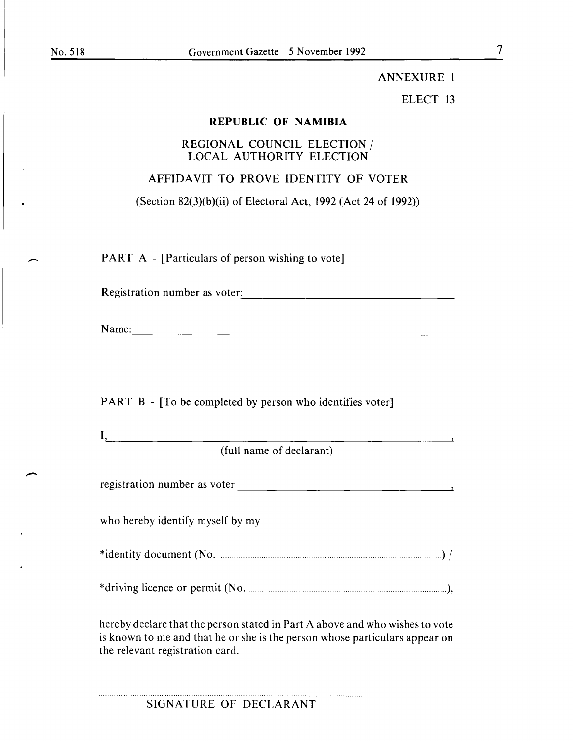$\overline{\phantom{a}}$ 

## ANNEXURE **1**

## ELECT 13

## **REPUBLIC OF NAMIBIA**

## REGIONAL COUNCIL ELECTION / LOCAL AUTHORITY ELECTION

## AFFIDAVIT TO PROVE IDENTITY OF VOTER

(Section 82(3)(b)(ii) of Electoral Act, 1992 (Act 24 of 1992))

PART A - [Particulars of person wishing to vote]

Registration number as voter: --------------------------------

Name:

PART B - [To be completed by person who identifies voter]

| . . |           |               |  |  |
|-----|-----------|---------------|--|--|
|     | --<br>. . | . .<br>$\sim$ |  |  |

(full name of declarant)

| registration number as voter |  |  |  |
|------------------------------|--|--|--|
|                              |  |  |  |

who hereby identify myself by my

\*identity document (No .. . ............................................................ ) I

\*driving licence or permit (No. . ................. ),

hereby declare that the person stated in Part A above and who wishes to vote is known to me and that he or she is the person whose particulars appear on the relevant registration card.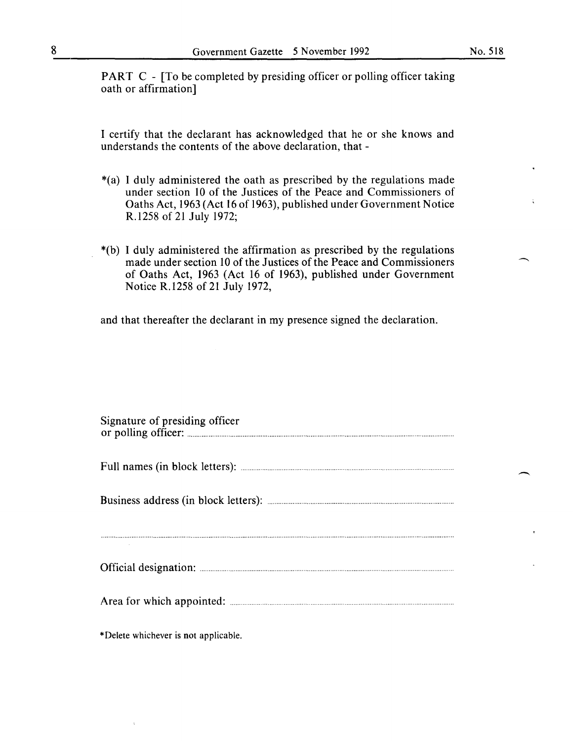PART C - [To be completed by presiding officer or polling officer taking oath or affirmation]

I certify that the declarant has acknowledged that he or she knows and understands the contents of the above declaration, that -

- \*(a) I duly administered the oath as prescribed by the regulations made under section 10 of the Justices of the Peace and Commissioners of Oaths Act, 1963 (Act 16 of 1963), published under Government Notice R.1258 of 21 July 1972;
- \*(b) I duly administered the affirmation as prescribed by the regulations made under section 10 of the Justices of the Peace and Commissioners of Oaths Act, 1963 (Act 16 of 1963), published under Government Notice R.1258 of 21 July 1972,

and that thereafter the declarant in my presence signed the declaration.

| Signature of presiding officer |
|--------------------------------|
|                                |
|                                |
|                                |
|                                |
|                                |
|                                |

\*Delete whichever is not applicable.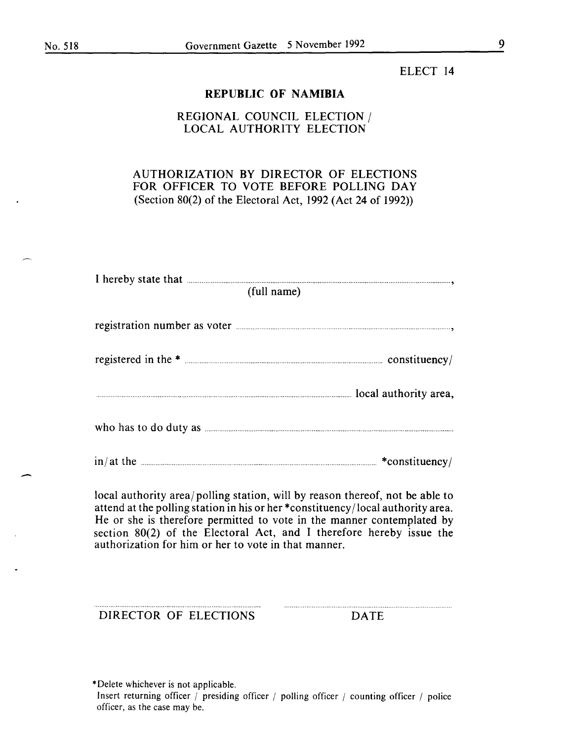#### ELECT 14

#### **REPUBLIC OF NAMIBIA**

## REGIONAL COUNCIL ELECTION/ LOCAL AUTHORITY ELECTION

## AUTHORIZATION BY DIRECTOR OF ELECTIONS FOR OFFICER TO VOTE BEFORE POLLING DAY (Section 80(2) of the Electoral Act, 1992 (Act 24 of 1992))

| I hereby state that <b>contract and the contract of the state of the contract of the state of the state of the state of the state of the state of the state of the state of the state of the state of the state of the state of </b> |  |
|--------------------------------------------------------------------------------------------------------------------------------------------------------------------------------------------------------------------------------------|--|
| (full name)                                                                                                                                                                                                                          |  |
|                                                                                                                                                                                                                                      |  |
|                                                                                                                                                                                                                                      |  |
|                                                                                                                                                                                                                                      |  |
|                                                                                                                                                                                                                                      |  |
|                                                                                                                                                                                                                                      |  |
|                                                                                                                                                                                                                                      |  |
|                                                                                                                                                                                                                                      |  |
|                                                                                                                                                                                                                                      |  |
|                                                                                                                                                                                                                                      |  |
| in/at the <u>substitutions in the set of the set of the set of the set of the set of the set of the set of the set of the set of the set of the set of the set of the set of the set of the set of the set of the set of the set</u> |  |

local authority area/ polling station, will by reason thereof, not be able to attend at the polling station in his or her \*constituency/local authority area. He or she is therefore permitted to vote in the manner contemplated by section 80(2) of the Electoral Act, and I therefore hereby issue the authorization for him or her to vote in that manner.

DIRECTOR OF ELECTIONS DATE

\*Delete whichever is not applicable. Insert returning officer *I* presiding officer *I* polling officer *1* counting officer *1* police officer, as the case may be.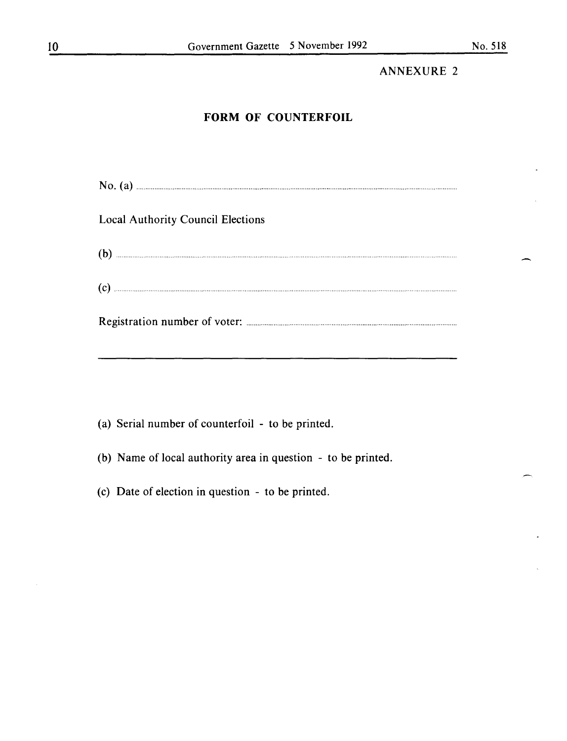## **ANNEXURE 2**

## **FORM OF COUNTERFOIL**

No. (a) **Mo.** (a) **Example 1** is the set of the set of the set of the set of the set of the set of the set of the set of the set of the set of the set of the set of the set of the set of the set of the set of the set of th

Local Authority Council Elections

| ′ጌ<br>. . |  |
|-----------|--|
|           |  |

|--|--|

(a) Serial number of counterfoil - to be printed.

(b) Name of local authority area in question - to be printed.

(c) Date of election in question - to be printed.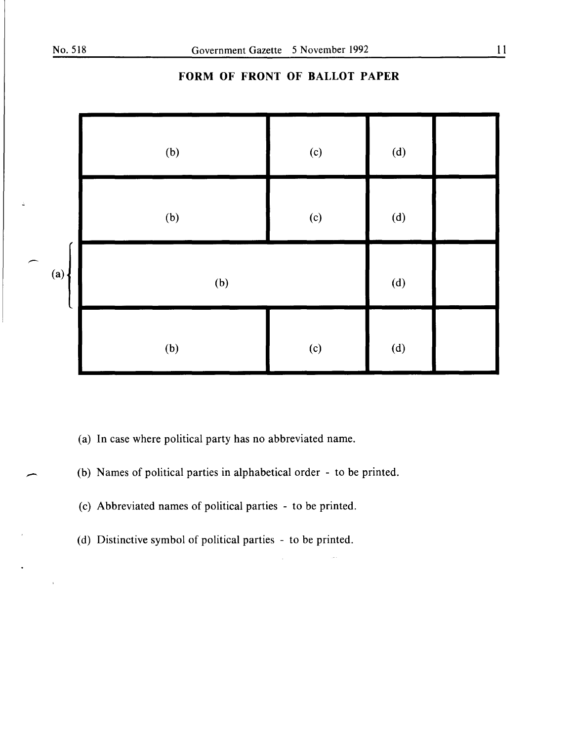

## **FORM OF FRONT OF BALLOT PAPER**

- (a) In case where political party has no abbreviated name.
- (b) Names of political parties in alphabetical order to be printed.
- (c) Abbreviated names of political parties to be printed.
- (d) Distinctive symbol of political parties to be printed.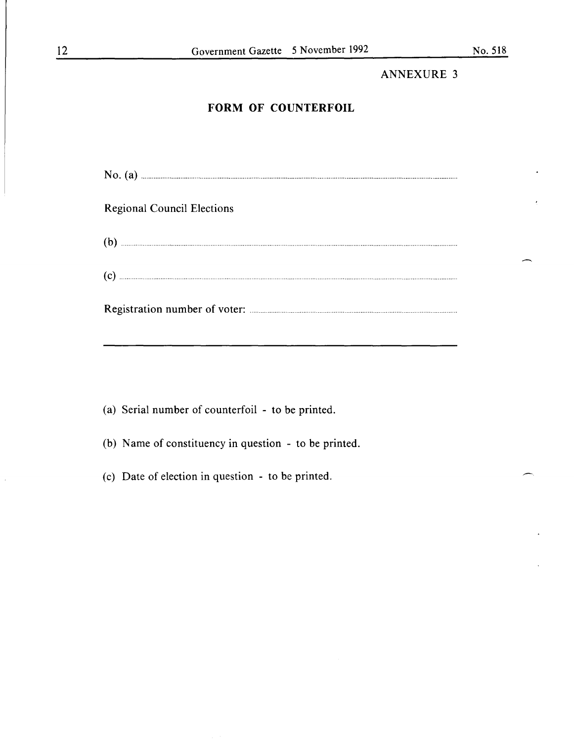## **ANNEXURE 3**

## **FORM OF COUNTERFOIL**

No. (a) **Example 20** and 20 and 20 and 20 and 20 and 20 and 20 and 20 and 20 and 20 and 20 and 20 and 20 and 20 and 20 and 20 and 20 and 20 and 20 and 20 and 20 and 20 and 20 and 20 and 20 and 20 and 20 and 20 and 20 and 2

## **Regional Council Elections**

|--|--|--|

(a) Serial number of counterfoil - to be printed.

(b) Name of constituency in question - to be printed.

(c) Date of election in question - to be printed.